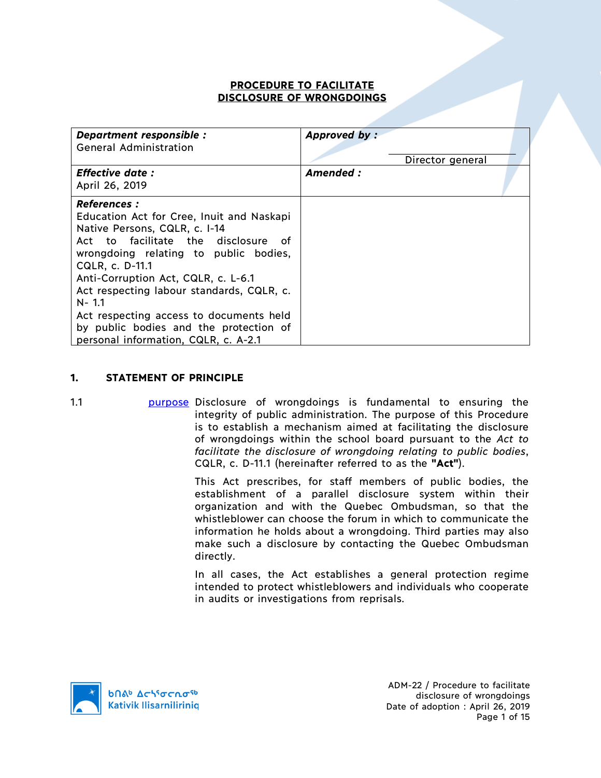## **PROCEDURE TO FACILITATE DISCLOSURE OF WRONGDOINGS**

| Department responsible :<br><b>General Administration</b>                                                                                                                                                                                                                                                                                                                                                                              | Approved by: | Director general |  |
|----------------------------------------------------------------------------------------------------------------------------------------------------------------------------------------------------------------------------------------------------------------------------------------------------------------------------------------------------------------------------------------------------------------------------------------|--------------|------------------|--|
| <b>Effective date:</b><br>April 26, 2019                                                                                                                                                                                                                                                                                                                                                                                               | Amended:     |                  |  |
| <b>References :</b><br>Education Act for Cree, Inuit and Naskapi<br>Native Persons, CQLR, c. I-14<br>Act to facilitate the disclosure<br>of.<br>wrongdoing relating to public bodies,<br>CQLR, c. D-11.1<br>Anti-Corruption Act, CQLR, c. L-6.1<br>Act respecting labour standards, CQLR, c.<br>$N - 1.1$<br>Act respecting access to documents held<br>by public bodies and the protection of<br>personal information, CQLR, c. A-2.1 |              |                  |  |

## **1. STATEMENT OF PRINCIPLE**

1.1 **purpose Disclosure of wrongdoings is fundamental to ensuring the** integrity of public administration. The purpose of this Procedure is to establish a mechanism aimed at facilitating the disclosure of wrongdoings within the school board pursuant to the *Act to facilitate the disclosure of wrongdoing relating to public bodies*, CQLR, c. D-11.1 (hereinafter referred to as the **"Act"**).

> This Act prescribes, for staff members of public bodies, the establishment of a parallel disclosure system within their organization and with the Quebec Ombudsman, so that the whistleblower can choose the forum in which to communicate the information he holds about a wrongdoing. Third parties may also make such a disclosure by contacting the Quebec Ombudsman directly.

> In all cases, the Act establishes a general protection regime intended to protect whistleblowers and individuals who cooperate in audits or investigations from reprisals.

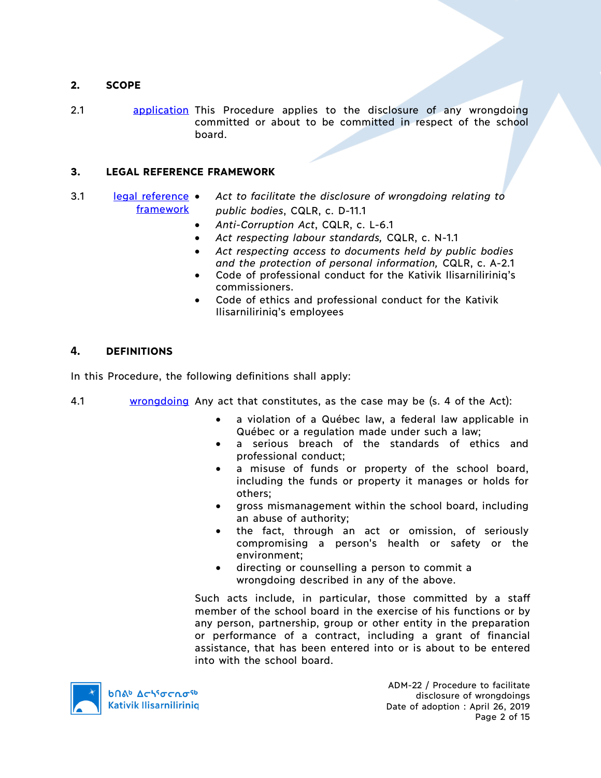## **2. SCOPE**

2.1 application This Procedure applies to the disclosure of any wrongdoing committed or about to be committed in respect of the school board.

## **3. LEGAL REFERENCE FRAMEWORK**

- 3.1 legal reference framework • *Act to facilitate the disclosure of wrongdoing relating to public bodies*, CQLR, c. D-11.1
	- *Anti-Corruption Act*, CQLR, c. L-6.1
	- *Act respecting labour standards,* CQLR, c. N-1.1
	- *Act respecting access to documents held by public bodies and the protection of personal information,* CQLR, c. A-2.1
	- Code of professional conduct for the Kativik Ilisarniliriniq's commissioners.
	- Code of ethics and professional conduct for the Kativik Ilisarniliriniq's employees

## **4. DEFINITIONS**

In this Procedure, the following definitions shall apply:

- 4.1 wrongdoing Any act that constitutes, as the case may be (s. 4 of the Act):
	- a violation of a Québec law, a federal law applicable in Québec or a regulation made under such a law;
	- a serious breach of the standards of ethics and professional conduct;
	- a misuse of funds or property of the school board, including the funds or property it manages or holds for others;
	- gross mismanagement within the school board, including an abuse of authority;
	- the fact, through an act or omission, of seriously compromising a person's health or safety or the environment;
	- directing or counselling a person to commit a wrongdoing described in any of the above.

Such acts include, in particular, those committed by a staff member of the school board in the exercise of his functions or by any person, partnership, group or other entity in the preparation or performance of a contract, including a grant of financial assistance, that has been entered into or is about to be entered into with the school board.



ADM-22 / Procedure to facilitate disclosure of wrongdoings Date of adoption : April 26, 2019 Page 2 of 15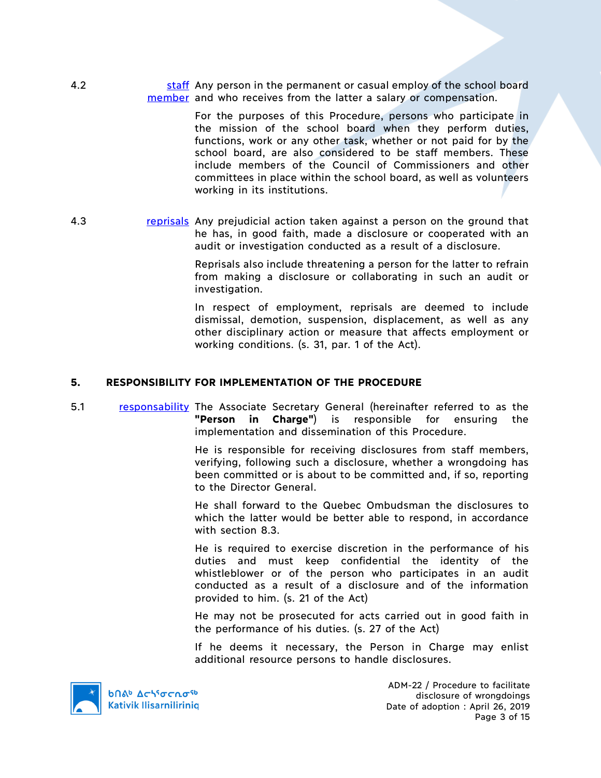4.2 staff Any person in the permanent or casual employ of the school board member and who receives from the latter a salary or compensation.

> For the purposes of this Procedure, persons who participate in the mission of the school board when they perform duties, functions, work or any other task, whether or not paid for by the school board, are also considered to be staff members. These include members of the Council of Commissioners and other committees in place within the school board, as well as volunteers working in its institutions.

4.3 **reprisals** Any prejudicial action taken against a person on the ground that he has, in good faith, made a disclosure or cooperated with an audit or investigation conducted as a result of a disclosure.

> Reprisals also include threatening a person for the latter to refrain from making a disclosure or collaborating in such an audit or investigation.

> In respect of employment, reprisals are deemed to include dismissal, demotion, suspension, displacement, as well as any other disciplinary action or measure that affects employment or working conditions. (s. 31, par. 1 of the Act).

#### **5. RESPONSIBILITY FOR IMPLEMENTATION OF THE PROCEDURE**

5.1 responsability The Associate Secretary General (hereinafter referred to as the **"Person in Charge"**) is responsible for ensuring the implementation and dissemination of this Procedure.

> He is responsible for receiving disclosures from staff members, verifying, following such a disclosure, whether a wrongdoing has been committed or is about to be committed and, if so, reporting to the Director General.

> He shall forward to the Quebec Ombudsman the disclosures to which the latter would be better able to respond, in accordance with section 8.3.

> He is required to exercise discretion in the performance of his duties and must keep confidential the identity of the whistleblower or of the person who participates in an audit conducted as a result of a disclosure and of the information provided to him. (s. 21 of the Act)

> He may not be prosecuted for acts carried out in good faith in the performance of his duties. (s. 27 of the Act)

> If he deems it necessary, the Person in Charge may enlist additional resource persons to handle disclosures.



**b**በል<sup>b</sup> Δςιτσς το <sup>τρ</sup> **Kativik Ilisarnilirinig** 

ADM-22 / Procedure to facilitate disclosure of wrongdoings Date of adoption : April 26, 2019 Page 3 of 15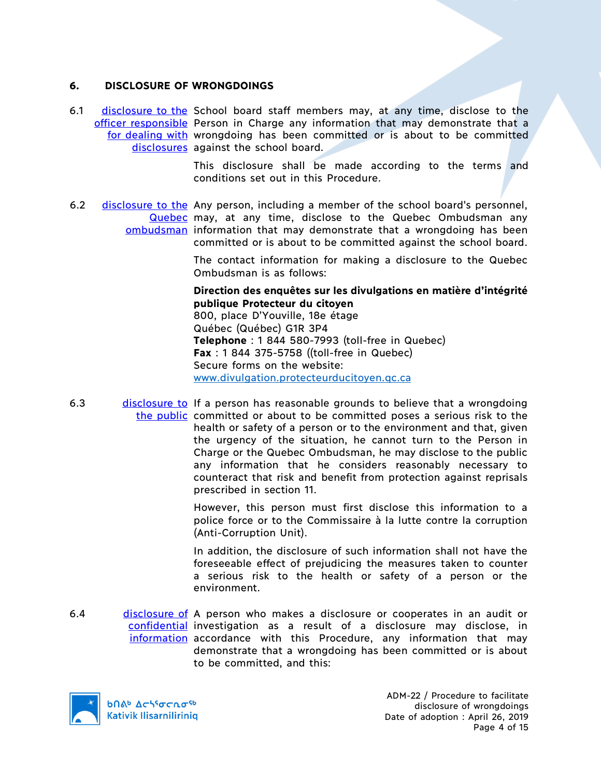## **6. DISCLOSURE OF WRONGDOINGS**

6.1 disclosure to the School board staff members may, at any time, disclose to the officer responsible Person in Charge any information that may demonstrate that a for dealing with wrongdoing has been committed or is about to be committed disclosures against the school board.

> This disclosure shall be made according to the terms and conditions set out in this Procedure.

6.2 disclosure to the Any person, including a member of the school board's personnel, Quebec may, at any time, disclose to the Quebec Ombudsman any ombudsman information that may demonstrate that a wrongdoing has been committed or is about to be committed against the school board.

> The contact information for making a disclosure to the Quebec Ombudsman is as follows:

> **Direction des enquêtes sur les divulgations en matière d'intégrité publique Protecteur du citoyen**

800, place D'Youville, 18e étage Québec (Québec) G1R 3P4 **Telephone** : 1 844 580-7993 (toll-free in Quebec) **Fax** : 1 844 375-5758 ((toll-free in Quebec) Secure forms on the website: www.divulgation.protecteurducitoyen.qc.ca

6.3 disclosure to If a person has reasonable grounds to believe that a wrongdoing the public committed or about to be committed poses a serious risk to the health or safety of a person or to the environment and that, given the urgency of the situation, he cannot turn to the Person in Charge or the Quebec Ombudsman, he may disclose to the public any information that he considers reasonably necessary to counteract that risk and benefit from protection against reprisals prescribed in section 11.

> However, this person must first disclose this information to a police force or to the Commissaire à la lutte contre la corruption (Anti-Corruption Unit).

> In addition, the disclosure of such information shall not have the foreseeable effect of prejudicing the measures taken to counter a serious risk to the health or safety of a person or the environment.

6.4 disclosure of A person who makes a disclosure or cooperates in an audit or confidential investigation as a result of a disclosure may disclose, in information accordance with this Procedure, any information that may demonstrate that a wrongdoing has been committed or is about to be committed, and this:



ADM-22 / Procedure to facilitate disclosure of wrongdoings Date of adoption : April 26, 2019 Page 4 of 15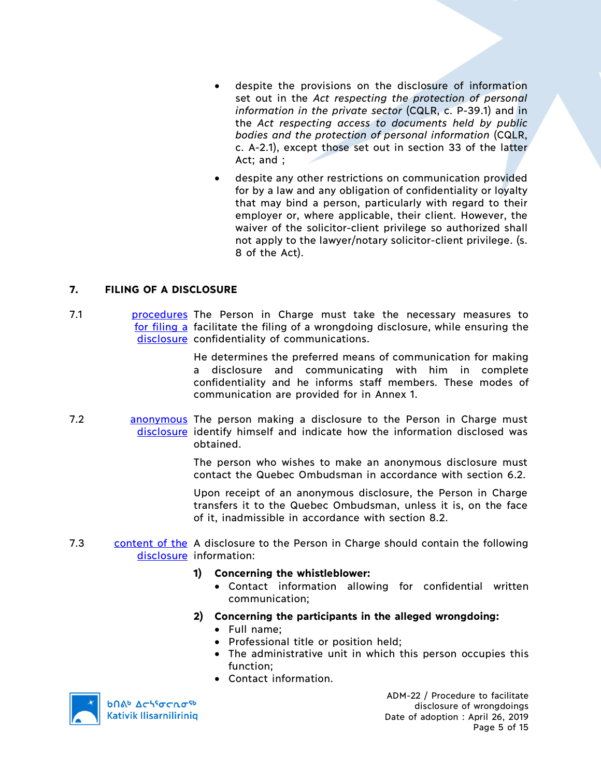- despite the provisions on the disclosure of information set out in the *Act respecting the protection of personal information in the private sector* (CQLR, c. P-39.1) and in the *Act respecting access to documents held by public bodies and the protection of personal information* (CQLR, c. A-2.1), except those set out in section 33 of the latter Act; and ;
- despite any other restrictions on communication provided for by a law and any obligation of confidentiality or loyalty that may bind a person, particularly with regard to their employer or, where applicable, their client. However, the waiver of the solicitor-client privilege so authorized shall not apply to the lawyer/notary solicitor-client privilege. (s. 8 of the Act).

## **7. FILING OF A DISCLOSURE**

7.1 **procedures** The Person in Charge must take the necessary measures to for filing a facilitate the filing of a wrongdoing disclosure, while ensuring the disclosure confidentiality of communications.

> He determines the preferred means of communication for making a disclosure and communicating with him in complete confidentiality and he informs staff members. These modes of communication are provided for in Annex 1.

7.2 **anonymous** The person making a disclosure to the Person in Charge must disclosure identify himself and indicate how the information disclosed was obtained.

> The person who wishes to make an anonymous disclosure must contact the Quebec Ombudsman in accordance with section 6.2.

> Upon receipt of an anonymous disclosure, the Person in Charge transfers it to the Quebec Ombudsman, unless it is, on the face of it, inadmissible in accordance with section 8.2.

7.3 content of the A disclosure to the Person in Charge should contain the following disclosure information:

## **1) Concerning the whistleblower:**

• Contact information allowing for confidential written communication;

**2) Concerning the participants in the alleged wrongdoing:**

- Full name;
- Professional title or position held;
- The administrative unit in which this person occupies this function;
- Contact information.



**b** Achiocnosb **Kativik Ilisarniliriniq** 

ADM-22 / Procedure to facilitate disclosure of wrongdoings Date of adoption : April 26, 2019 Page 5 of 15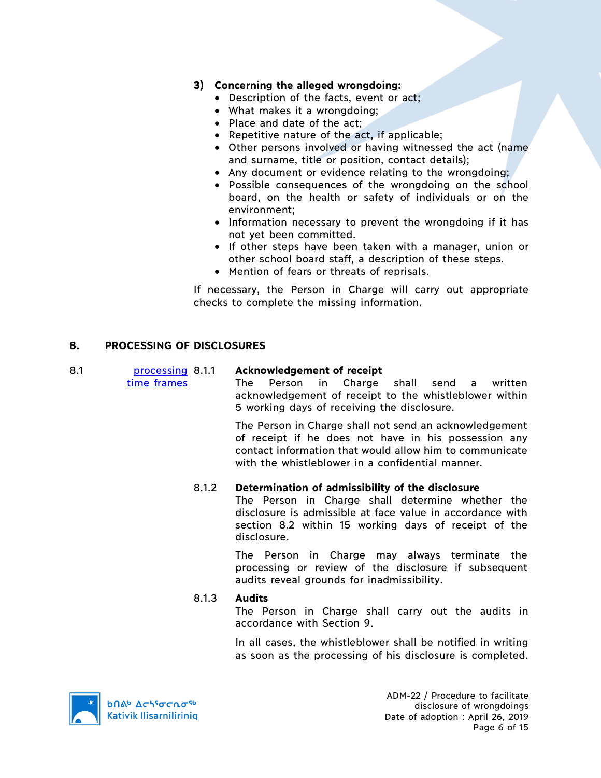## **3) Concerning the alleged wrongdoing:**

- Description of the facts, event or act;
- What makes it a wrongdoing;
- Place and date of the act;
- Repetitive nature of the act, if applicable;
- Other persons involved or having witnessed the act (name and surname, title or position, contact details);
- Any document or evidence relating to the wrongdoing;
- Possible consequences of the wrongdoing on the school board, on the health or safety of individuals or on the environment;
- Information necessary to prevent the wrongdoing if it has not yet been committed.
- If other steps have been taken with a manager, union or other school board staff, a description of these steps.
- Mention of fears or threats of reprisals.

If necessary, the Person in Charge will carry out appropriate checks to complete the missing information.

## **8. PROCESSING OF DISCLOSURES**

time frames

#### 8.1 **processing 8.1.1** 8.1.1 **Acknowledgement of receipt**

The Person in Charge shall send a written acknowledgement of receipt to the whistleblower within 5 working days of receiving the disclosure.

The Person in Charge shall not send an acknowledgement of receipt if he does not have in his possession any contact information that would allow him to communicate with the whistleblower in a confidential manner.

## 8.1.2 **Determination of admissibility of the disclosure**

The Person in Charge shall determine whether the disclosure is admissible at face value in accordance with section 8.2 within 15 working days of receipt of the disclosure.

The Person in Charge may always terminate the processing or review of the disclosure if subsequent audits reveal grounds for inadmissibility.

## 8.1.3 **Audits**

The Person in Charge shall carry out the audits in accordance with Section 9.

In all cases, the whistleblower shall be notified in writing as soon as the processing of his disclosure is completed.



ADM-22 / Procedure to facilitate disclosure of wrongdoings Date of adoption : April 26, 2019 Page 6 of 15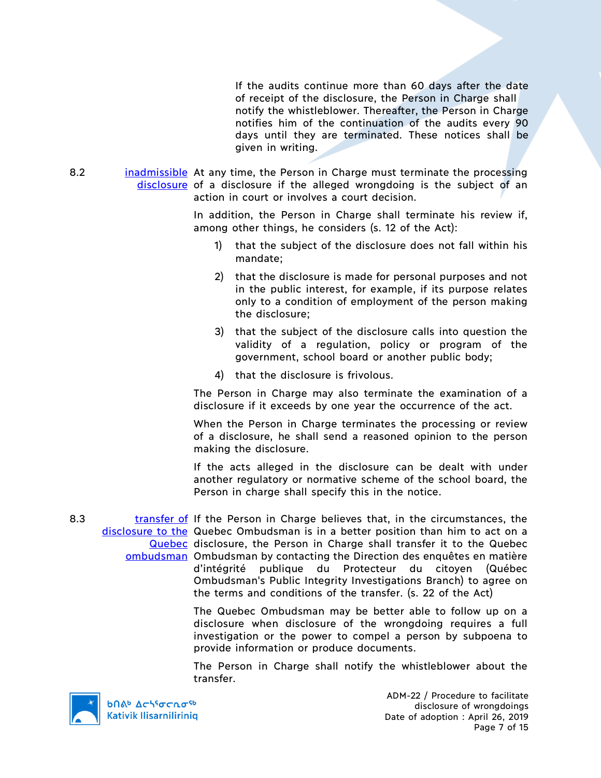If the audits continue more than 60 days after the date of receipt of the disclosure, the Person in Charge shall notify the whistleblower. Thereafter, the Person in Charge notifies him of the continuation of the audits every 90 days until they are terminated. These notices shall be given in writing.

8.2 **inadmissible** At any time, the Person in Charge must terminate the processing disclosure of a disclosure if the alleged wrongdoing is the subject of an action in court or involves a court decision.

> In addition, the Person in Charge shall terminate his review if, among other things, he considers (s. 12 of the Act):

- 1) that the subject of the disclosure does not fall within his mandate;
- 2) that the disclosure is made for personal purposes and not in the public interest, for example, if its purpose relates only to a condition of employment of the person making the disclosure;
- 3) that the subject of the disclosure calls into question the validity of a regulation, policy or program of the government, school board or another public body;
- 4) that the disclosure is frivolous.

The Person in Charge may also terminate the examination of a disclosure if it exceeds by one year the occurrence of the act.

When the Person in Charge terminates the processing or review of a disclosure, he shall send a reasoned opinion to the person making the disclosure.

If the acts alleged in the disclosure can be dealt with under another regulatory or normative scheme of the school board, the Person in charge shall specify this in the notice.

8.3 transfer of If the Person in Charge believes that, in the circumstances, the disclosure to the Quebec Ombudsman is in a better position than him to act on a Quebec disclosure, the Person in Charge shall transfer it to the Quebec ombudsman Ombudsman by contacting the Direction des enquêtes en matière d'intégrité publique du Protecteur du citoyen (Québec Ombudsman's Public Integrity Investigations Branch) to agree on the terms and conditions of the transfer. (s. 22 of the Act)

> The Quebec Ombudsman may be better able to follow up on a disclosure when disclosure of the wrongdoing requires a full investigation or the power to compel a person by subpoena to provide information or produce documents.

> The Person in Charge shall notify the whistleblower about the transfer.

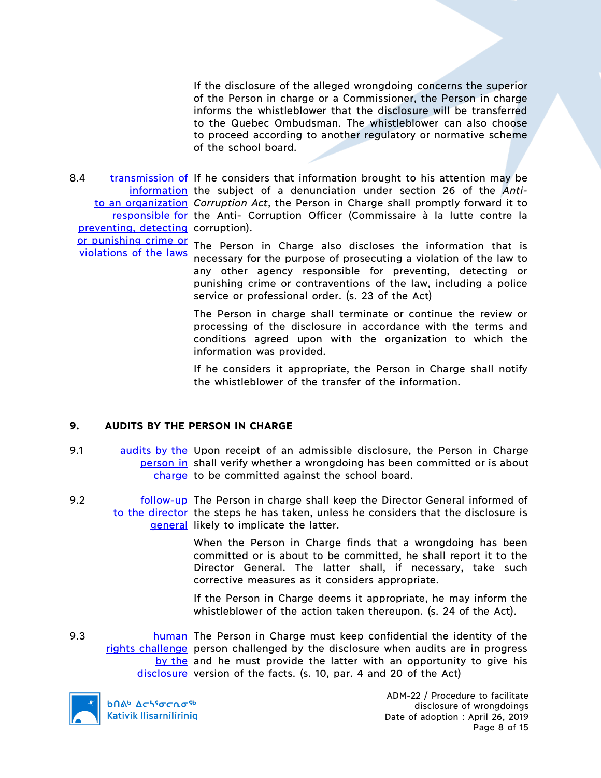If the disclosure of the alleged wrongdoing concerns the superior of the Person in charge or a Commissioner, the Person in charge informs the whistleblower that the disclosure will be transferred to the Quebec Ombudsman. The whistleblower can also choose to proceed according to another regulatory or normative scheme of the school board.

8.4 transmission of If he considers that information brought to his attention may be information the subject of a denunciation under section 26 of the *Anti*to an organization *Corruption Act*, the Person in Charge shall promptly forward it to responsible for the Anti- Corruption Officer (Commissaire à la lutte contre la preventing, detecting corruption).

violations of the laws

or punishing crime or The Person in Charge also discloses the information that is necessary for the purpose of prosecuting a violation of the law to any other agency responsible for preventing, detecting or punishing crime or contraventions of the law, including a police service or professional order. (s. 23 of the Act)

> The Person in charge shall terminate or continue the review or processing of the disclosure in accordance with the terms and conditions agreed upon with the organization to which the information was provided.

> If he considers it appropriate, the Person in Charge shall notify the whistleblower of the transfer of the information.

## **9. AUDITS BY THE PERSON IN CHARGE**

- 9.1 audits by the Upon receipt of an admissible disclosure, the Person in Charge person in shall verify whether a wrongdoing has been committed or is about charge to be committed against the school board.
- 9.2 **follow-up** The Person in charge shall keep the Director General informed of to the director the steps he has taken, unless he considers that the disclosure is general likely to implicate the latter.

When the Person in Charge finds that a wrongdoing has been committed or is about to be committed, he shall report it to the Director General. The latter shall, if necessary, take such corrective measures as it considers appropriate.

If the Person in Charge deems it appropriate, he may inform the whistleblower of the action taken thereupon. (s. 24 of the Act).

9.3 **human** The Person in Charge must keep confidential the identity of the rights challenge person challenged by the disclosure when audits are in progress by the and he must provide the latter with an opportunity to give his disclosure version of the facts. (s. 10, par. 4 and 20 of the Act)

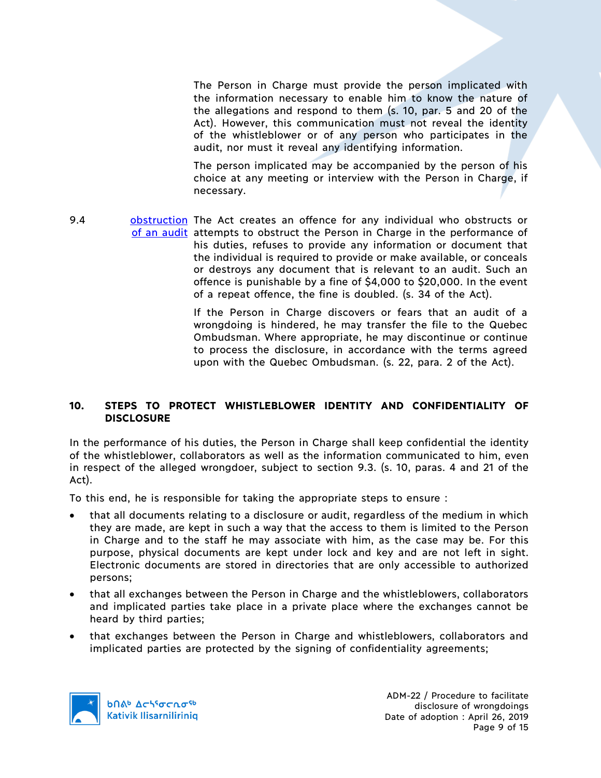The Person in Charge must provide the person implicated with the information necessary to enable him to know the nature of the allegations and respond to them (s. 10, par. 5 and 20 of the Act). However, this communication must not reveal the identity of the whistleblower or of any person who participates in the audit, nor must it reveal any identifying information.

The person implicated may be accompanied by the person of his choice at any meeting or interview with the Person in Charge, if necessary.

9.4 **obstruction** The Act creates an offence for any individual who obstructs or of an audit attempts to obstruct the Person in Charge in the performance of his duties, refuses to provide any information or document that the individual is required to provide or make available, or conceals or destroys any document that is relevant to an audit. Such an offence is punishable by a fine of \$4,000 to \$20,000. In the event of a repeat offence, the fine is doubled. (s. 34 of the Act).

> If the Person in Charge discovers or fears that an audit of a wrongdoing is hindered, he may transfer the file to the Quebec Ombudsman. Where appropriate, he may discontinue or continue to process the disclosure, in accordance with the terms agreed upon with the Quebec Ombudsman. (s. 22, para. 2 of the Act).

## **10. STEPS TO PROTECT WHISTLEBLOWER IDENTITY AND CONFIDENTIALITY OF DISCLOSURE**

In the performance of his duties, the Person in Charge shall keep confidential the identity of the whistleblower, collaborators as well as the information communicated to him, even in respect of the alleged wrongdoer, subject to section 9.3. (s. 10, paras. 4 and 21 of the Act).

To this end, he is responsible for taking the appropriate steps to ensure :

- that all documents relating to a disclosure or audit, regardless of the medium in which they are made, are kept in such a way that the access to them is limited to the Person in Charge and to the staff he may associate with him, as the case may be. For this purpose, physical documents are kept under lock and key and are not left in sight. Electronic documents are stored in directories that are only accessible to authorized persons;
- that all exchanges between the Person in Charge and the whistleblowers, collaborators and implicated parties take place in a private place where the exchanges cannot be heard by third parties;
- that exchanges between the Person in Charge and whistleblowers, collaborators and implicated parties are protected by the signing of confidentiality agreements;

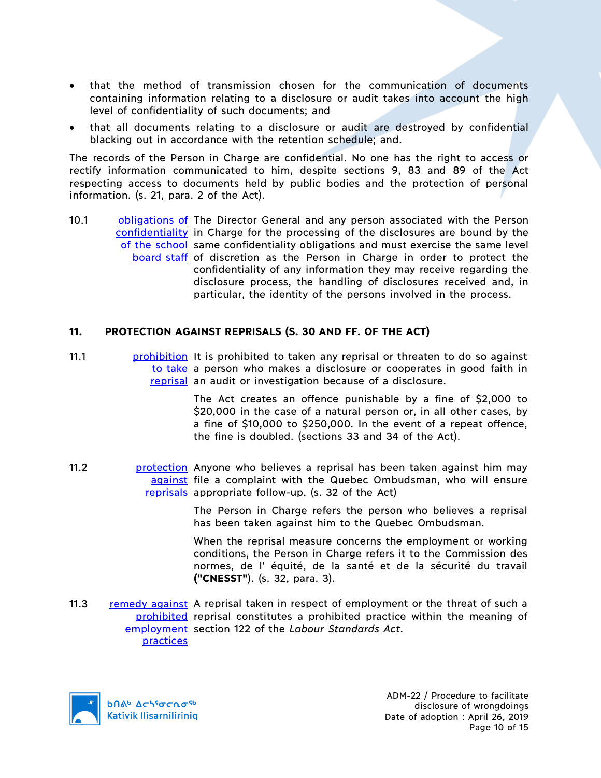- that the method of transmission chosen for the communication of documents containing information relating to a disclosure or audit takes into account the high level of confidentiality of such documents; and
- that all documents relating to a disclosure or audit are destroyed by confidential blacking out in accordance with the retention schedule; and.

The records of the Person in Charge are confidential. No one has the right to access or rectify information communicated to him, despite sections 9, 83 and 89 of the Act respecting access to documents held by public bodies and the protection of personal information. (s. 21, para. 2 of the Act).

10.1 **biligations of The Director General and any person associated with the Person** confidentiality in Charge for the processing of the disclosures are bound by the of the school same confidentiality obligations and must exercise the same level board staff of discretion as the Person in Charge in order to protect the confidentiality of any information they may receive regarding the disclosure process, the handling of disclosures received and, in particular, the identity of the persons involved in the process.

## **11. PROTECTION AGAINST REPRISALS (S. 30 AND FF. OF THE ACT)**

11.1 **prohibition** It is prohibited to taken any reprisal or threaten to do so against to take a person who makes a disclosure or cooperates in good faith in reprisal an audit or investigation because of a disclosure.

> The Act creates an offence punishable by a fine of \$2,000 to \$20,000 in the case of a natural person or, in all other cases, by a fine of \$10,000 to \$250,000. In the event of a repeat offence, the fine is doubled. (sections 33 and 34 of the Act).

11.2 **protection** Anyone who believes a reprisal has been taken against him may against file a complaint with the Quebec Ombudsman, who will ensure reprisals appropriate follow-up. (s. 32 of the Act)

> The Person in Charge refers the person who believes a reprisal has been taken against him to the Quebec Ombudsman.

> When the reprisal measure concerns the employment or working conditions, the Person in Charge refers it to the Commission des normes, de l' équité, de la santé et de la sécurité du travail **("CNESST"**). (s. 32, para. 3).

11.3 remedy against A reprisal taken in respect of employment or the threat of such a prohibited reprisal constitutes a prohibited practice within the meaning of employment section 122 of the *Labour Standards Act*.practices

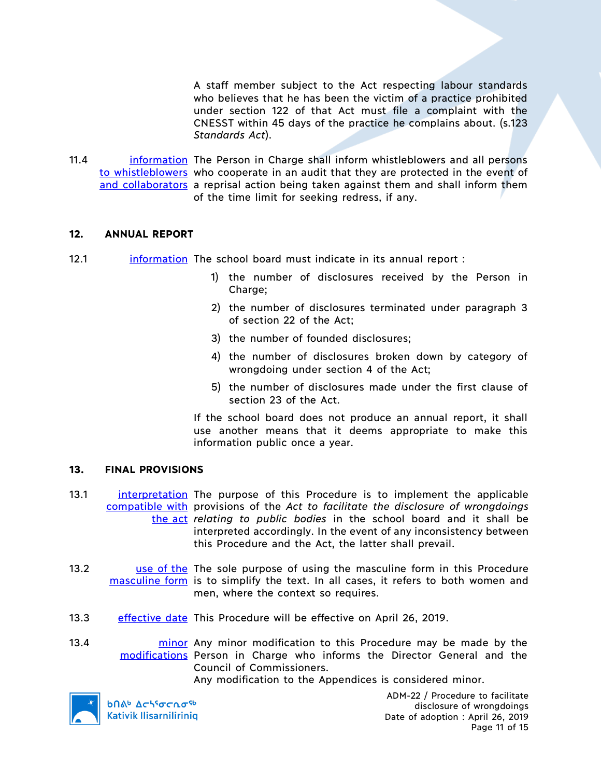A staff member subject to the Act respecting labour standards who believes that he has been the victim of a practice prohibited under section 122 of that Act must file a complaint with the CNESST within 45 days of the practice he complains about. (s.123 *Standards Act*).

11.4 **information** The Person in Charge shall inform whistleblowers and all persons to whistleblowers who cooperate in an audit that they are protected in the event of and collaborators a reprisal action being taken against them and shall inform them of the time limit for seeking redress, if any.

#### **12. ANNUAL REPORT**

- 12.1 information The school board must indicate in its annual report :
	- 1) the number of disclosures received by the Person in Charge;
	- 2) the number of disclosures terminated under paragraph 3 of section 22 of the Act;
	- 3) the number of founded disclosures;
	- 4) the number of disclosures broken down by category of wrongdoing under section 4 of the Act;
	- 5) the number of disclosures made under the first clause of section 23 of the Act.

If the school board does not produce an annual report, it shall use another means that it deems appropriate to make this information public once a year.

#### **13. FINAL PROVISIONS**

- 13.1 **interpretation** The purpose of this Procedure is to implement the applicable compatible with provisions of the *Act to facilitate the disclosure of wrongdoings*  the act *relating to public bodies* in the school board and it shall be interpreted accordingly. In the event of any inconsistency between this Procedure and the Act, the latter shall prevail.
- 13.2 **use of the The sole purpose of using the masculine form in this Procedure** masculine form is to simplify the text. In all cases, it refers to both women and men, where the context so requires.
- 13.3 effective date This Procedure will be effective on April 26, 2019.
- 13.4 **minor** Any minor modification to this Procedure may be made by the modifications Person in Charge who informs the Director General and the Council of Commissioners.

Any modification to the Appendices is considered minor.



**b**Πል<sup>b</sup> Δςιγσς πσ<sup>ς b</sup> **Kativik Ilisarniliriniq** 

ADM-22 / Procedure to facilitate disclosure of wrongdoings Date of adoption : April 26, 2019 Page 11 of 15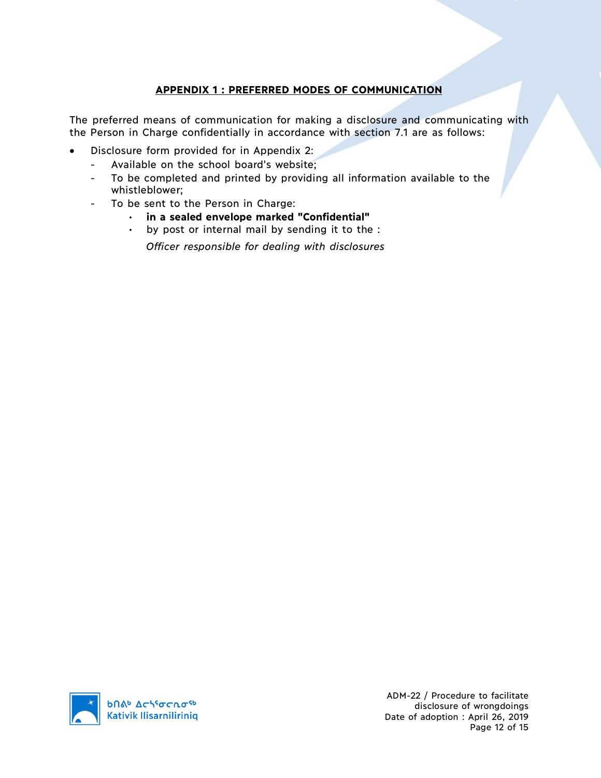# **APPENDIX 1 : PREFERRED MODES OF COMMUNICATION**

The preferred means of communication for making a disclosure and communicating with the Person in Charge confidentially in accordance with section 7.1 are as follows:

- Disclosure form provided for in Appendix 2:
	- Available on the school board's website;
	- To be completed and printed by providing all information available to the whistleblower;
	- To be sent to the Person in Charge:
		- **in a sealed envelope marked "Confidential"**
		- by post or internal mail by sending it to the :

*Officer responsible for dealing with disclosures*



ADM-22 / Procedure to facilitate disclosure of wrongdoings Date of adoption : April 26, 2019 Page 12 of 15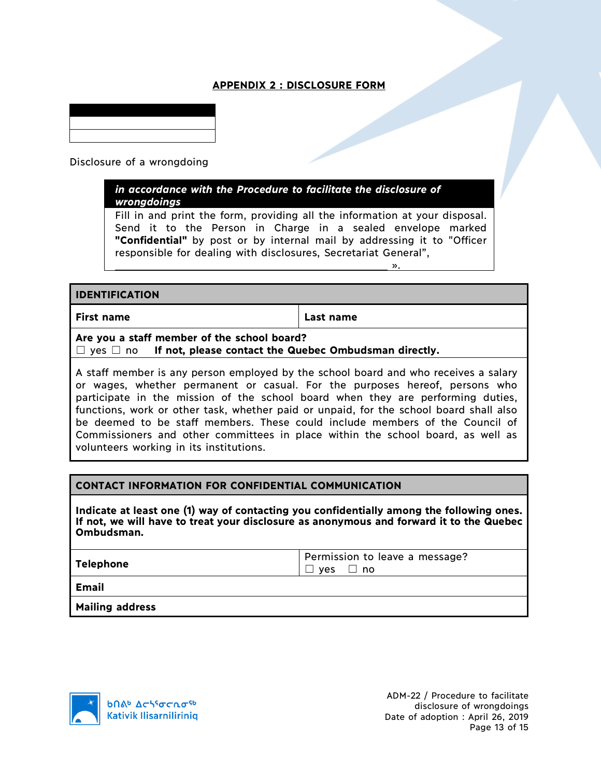# **APPENDIX 2 : DISCLOSURE FORM**

Disclosure of a wrongdoing

*in accordance with the Procedure to facilitate the disclosure of wrongdoings*

Fill in and print the form, providing all the information at your disposal. Send it to the Person in Charge in a sealed envelope marked **"Confidential"** by post or by internal mail by addressing it to "Officer responsible for dealing with disclosures, Secretariat General",

## **IDENTIFICATION**

**First name Last name**

».

**Are you a staff member of the school board?**

☐ yes ☐ no **If not, please contact the Quebec Ombudsman directly.**

A staff member is any person employed by the school board and who receives a salary or wages, whether permanent or casual. For the purposes hereof, persons who participate in the mission of the school board when they are performing duties, functions, work or other task, whether paid or unpaid, for the school board shall also be deemed to be staff members. These could include members of the Council of Commissioners and other committees in place within the school board, as well as volunteers working in its institutions.

## **CONTACT INFORMATION FOR CONFIDENTIAL COMMUNICATION**

**Indicate at least one (1) way of contacting you confidentially among the following ones. If not, we will have to treat your disclosure as anonymous and forward it to the Quebec Ombudsman.**

|--|

**Email**

**Mailing address**

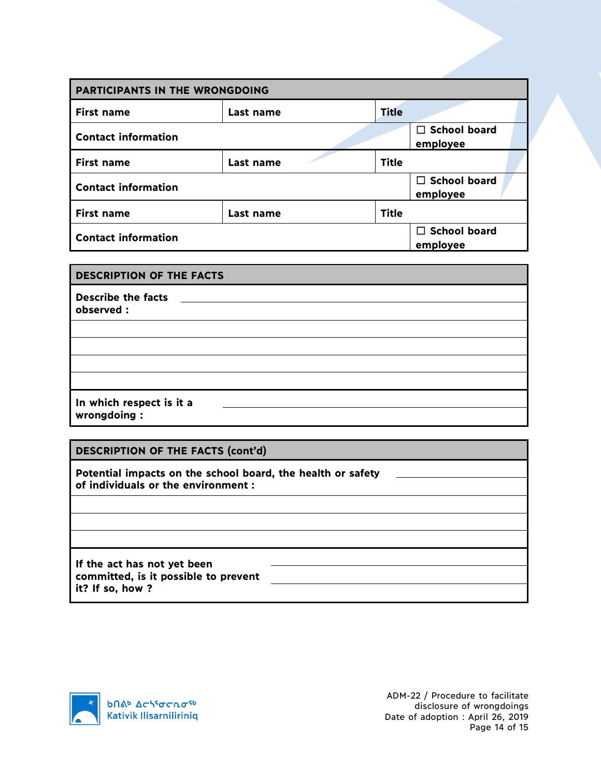| PARTICIPANTS IN THE WRONGDOING |           |                                 |                                 |
|--------------------------------|-----------|---------------------------------|---------------------------------|
| <b>First name</b>              | Last name | <b>Title</b>                    |                                 |
| <b>Contact information</b>     |           |                                 | $\Box$ School board<br>employee |
| <b>First name</b>              | Last name | <b>Title</b>                    |                                 |
| <b>Contact information</b>     |           | $\Box$ School board<br>employee |                                 |
| <b>First name</b>              | Last name | <b>Title</b>                    |                                 |
| <b>Contact information</b>     |           |                                 | $\Box$ School board<br>employee |

| <b>DESCRIPTION OF THE FACTS</b>         |  |
|-----------------------------------------|--|
| <b>Describe the facts</b><br>observed : |  |
|                                         |  |
|                                         |  |
|                                         |  |
|                                         |  |
| In which respect is it a                |  |
| wrongdoing:                             |  |

# **DESCRIPTION OF THE FACTS (cont'd)**

**Potential impacts on the school board, the health or safety of individuals or the environment :**

**If the act has not yet been committed, is it possible to prevent it? If so, how ?**



ADM-22 / Procedure to facilitate disclosure of wrongdoings Date of adoption : April 26, 2019 Page 14 of 15